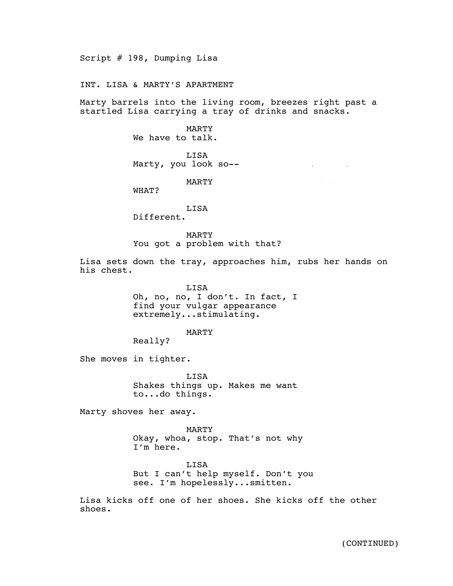Script # 198, Dumping Lisa

INT. LISA & MARTY'S APARTMENT

Marty barrels into the living room, breezes right past a startled Lisa carrying a tray of drinks and snacks.

> MARTY We have to talk.

LISA Marty, you look so--

MARTY

WHAT?

LISA

Different.

MARTY You got a problem with that?

Lisa sets down the tray, approaches him, rubs her hands on his chest.

4/16/15

LISA Oh, no, no, I don't. In fact, I find your vulgar appearance extremely...stimulating.

MARTY

Really?

She moves in tighter.

LISA Shakes things up. Makes me want to...do things.

Marty shoves her away.

MARTY Okay, whoa, stop. That's not why I'm here.

LISA But I can't help myself. Don't you see. I'm hopelessly...smitten.

Lisa kicks off one of her shoes. She kicks off the other shoes.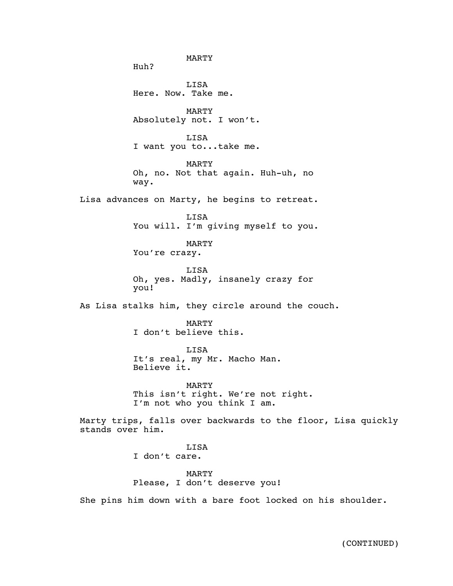MARTY Huh? LISA Here. Now. Take me. MARTY Absolutely not. I won't. LISA I want you to...take me. MARTY Oh, no. Not that again. Huh-uh, no way. Lisa advances on Marty, he begins to retreat. LISA You will. I'm giving myself to you. MARTY You're crazy. **T.TSA** Oh, yes. Madly, insanely crazy for you! As Lisa stalks him, they circle around the couch. MARTY I don't believe this. LISA It's real, my Mr. Macho Man. Believe it. MARTY This isn't right. We're not right. I'm not who you think I am. Marty trips, falls over backwards to the floor, Lisa quickly stands over him. LISA I don't care. MARTY Please, I don't deserve you! She pins him down with a bare foot locked on his shoulder.